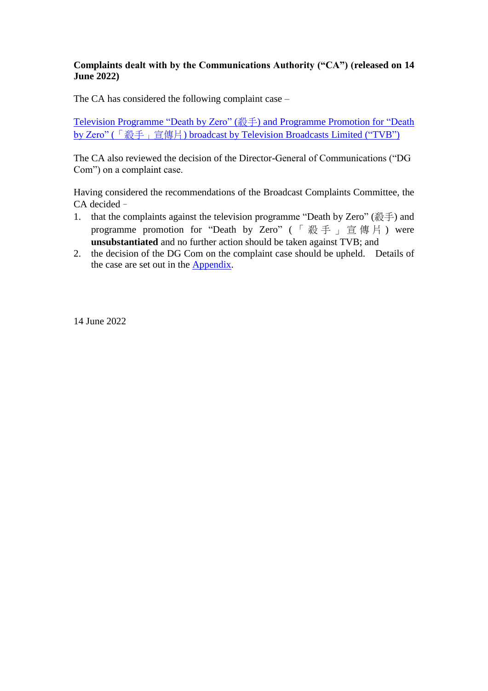# **Complaints dealt with by the Communications Authority ("CA") (released on 14 June 2022)**

The CA has considered the following complaint case –

[Television Programme "Death by Zero" \(](#page-1-0)殺手) and Programme Promotion for "Death by Zero" (「殺手」宣傳片[\) broadcast by Television Broadcasts](#page-1-0) Limited ("TVB")

The CA also reviewed the decision of the Director-General of Communications ("DG Com") on a complaint case.

Having considered the recommendations of the Broadcast Complaints Committee, the CA decided–

- 1. that the complaints against the television programme "Death by Zero" ( $\mathbb{R}\ddot{\pm}$ ) and programme promotion for "Death by Zero" (「殺手」宣傳片) were **unsubstantiated** and no further action should be taken against TVB; and
- 2. the decision of the DG Com on the complaint case should be upheld. Details of the case are set out in the [Appendix.](#page-5-0)

14 June 2022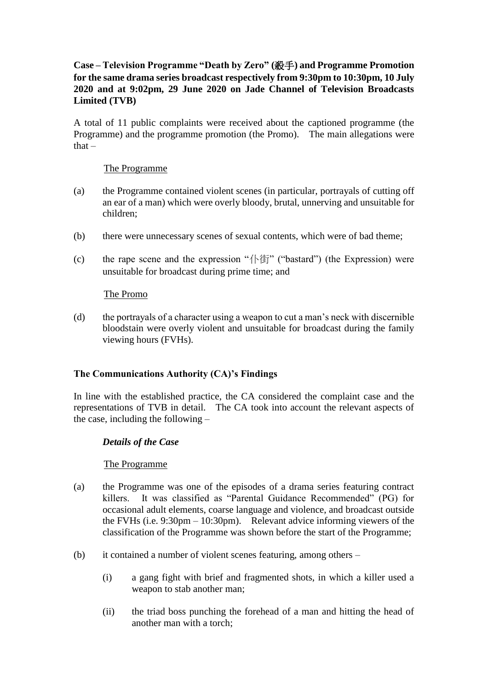# <span id="page-1-0"></span>**Case – Television Programme "Death by Zero" (**殺手**) and Programme Promotion for the same drama series broadcast respectively from 9:30pm to 10:30pm, 10 July 2020 and at 9:02pm, 29 June 2020 on Jade Channel of Television Broadcasts Limited (TVB)**

A total of 11 public complaints were received about the captioned programme (the Programme) and the programme promotion (the Promo). The main allegations were that –

#### The Programme

- (a) the Programme contained violent scenes (in particular, portrayals of cutting off an ear of a man) which were overly bloody, brutal, unnerving and unsuitable for children;
- (b) there were unnecessary scenes of sexual contents, which were of bad theme;
- (c) the rape scene and the expression "仆街" ("bastard") (the Expression) were unsuitable for broadcast during prime time; and

#### The Promo

(d) the portrayals of a character using a weapon to cut a man's neck with discernible bloodstain were overly violent and unsuitable for broadcast during the family viewing hours (FVHs).

#### **The Communications Authority (CA)'s Findings**

In line with the established practice, the CA considered the complaint case and the representations of TVB in detail. The CA took into account the relevant aspects of the case, including the following –

#### *Details of the Case*

#### The Programme

- (a) the Programme was one of the episodes of a drama series featuring contract killers. It was classified as "Parental Guidance Recommended" (PG) for occasional adult elements, coarse language and violence, and broadcast outside the FVHs (i.e. 9:30pm – 10:30pm). Relevant advice informing viewers of the classification of the Programme was shown before the start of the Programme;
- (b) it contained a number of violent scenes featuring, among others
	- (i) a gang fight with brief and fragmented shots, in which a killer used a weapon to stab another man;
	- (ii) the triad boss punching the forehead of a man and hitting the head of another man with a torch;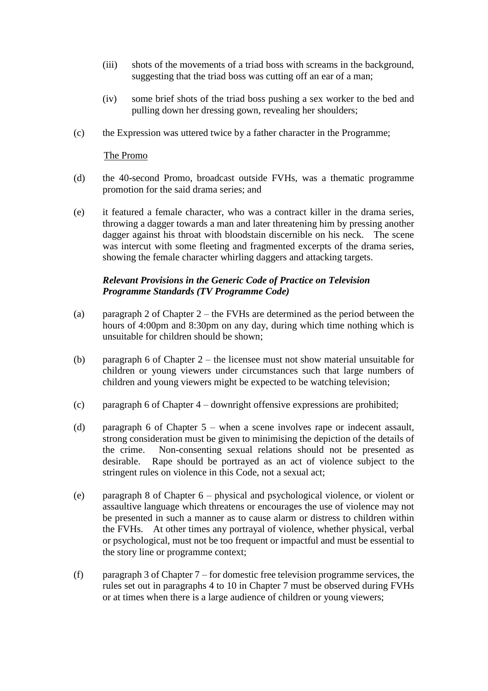- (iii) shots of the movements of a triad boss with screams in the background, suggesting that the triad boss was cutting off an ear of a man;
- (iv) some brief shots of the triad boss pushing a sex worker to the bed and pulling down her dressing gown, revealing her shoulders;
- (c) the Expression was uttered twice by a father character in the Programme;

#### The Promo

- (d) the 40-second Promo, broadcast outside FVHs, was a thematic programme promotion for the said drama series; and
- (e) it featured a female character, who was a contract killer in the drama series, throwing a dagger towards a man and later threatening him by pressing another dagger against his throat with bloodstain discernible on his neck. The scene was intercut with some fleeting and fragmented excerpts of the drama series, showing the female character whirling daggers and attacking targets.

#### *Relevant Provisions in the Generic Code of Practice on Television Programme Standards (TV Programme Code)*

- (a) paragraph 2 of Chapter 2 the FVHs are determined as the period between the hours of 4:00pm and 8:30pm on any day, during which time nothing which is unsuitable for children should be shown;
- (b) paragraph 6 of Chapter 2 the licensee must not show material unsuitable for children or young viewers under circumstances such that large numbers of children and young viewers might be expected to be watching television;
- (c) paragraph 6 of Chapter 4 downright offensive expressions are prohibited;
- (d) paragraph 6 of Chapter 5 when a scene involves rape or indecent assault, strong consideration must be given to minimising the depiction of the details of the crime. Non-consenting sexual relations should not be presented as desirable. Rape should be portrayed as an act of violence subject to the stringent rules on violence in this Code, not a sexual act;
- (e) paragraph 8 of Chapter 6 physical and psychological violence, or violent or assaultive language which threatens or encourages the use of violence may not be presented in such a manner as to cause alarm or distress to children within the FVHs. At other times any portrayal of violence, whether physical, verbal or psychological, must not be too frequent or impactful and must be essential to the story line or programme context;
- (f) paragraph 3 of Chapter 7 for domestic free television programme services, the rules set out in paragraphs 4 to 10 in Chapter 7 must be observed during FVHs or at times when there is a large audience of children or young viewers;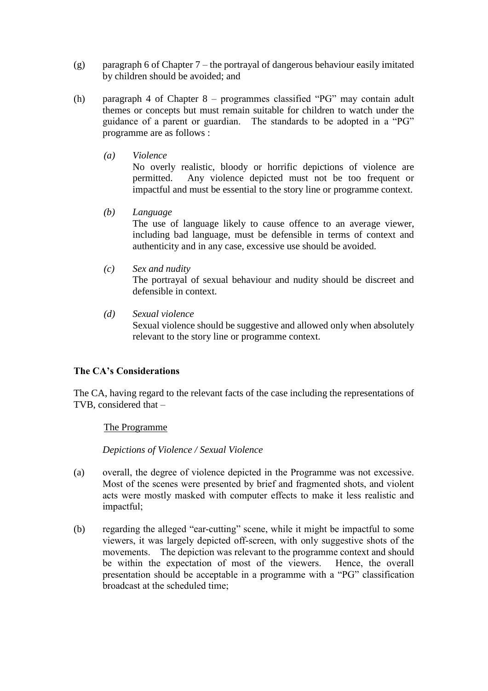- (g) paragraph 6 of Chapter 7 the portrayal of dangerous behaviour easily imitated by children should be avoided; and
- (h) paragraph 4 of Chapter 8 programmes classified "PG" may contain adult themes or concepts but must remain suitable for children to watch under the guidance of a parent or guardian. The standards to be adopted in a "PG" programme are as follows :
	- *(a) Violence*

No overly realistic, bloody or horrific depictions of violence are permitted. Any violence depicted must not be too frequent or impactful and must be essential to the story line or programme context.

*(b) Language*

The use of language likely to cause offence to an average viewer, including bad language, must be defensible in terms of context and authenticity and in any case, excessive use should be avoided.

*(c) Sex and nudity*

The portrayal of sexual behaviour and nudity should be discreet and defensible in context.

*(d) Sexual violence* Sexual violence should be suggestive and allowed only when absolutely relevant to the story line or programme context.

# **The CA's Considerations**

The CA, having regard to the relevant facts of the case including the representations of TVB, considered that –

#### The Programme

*Depictions of Violence / Sexual Violence*

- (a) overall, the degree of violence depicted in the Programme was not excessive. Most of the scenes were presented by brief and fragmented shots, and violent acts were mostly masked with computer effects to make it less realistic and impactful;
- (b) regarding the alleged "ear-cutting" scene, while it might be impactful to some viewers, it was largely depicted off-screen, with only suggestive shots of the movements. The depiction was relevant to the programme context and should be within the expectation of most of the viewers. Hence, the overall presentation should be acceptable in a programme with a "PG" classification broadcast at the scheduled time;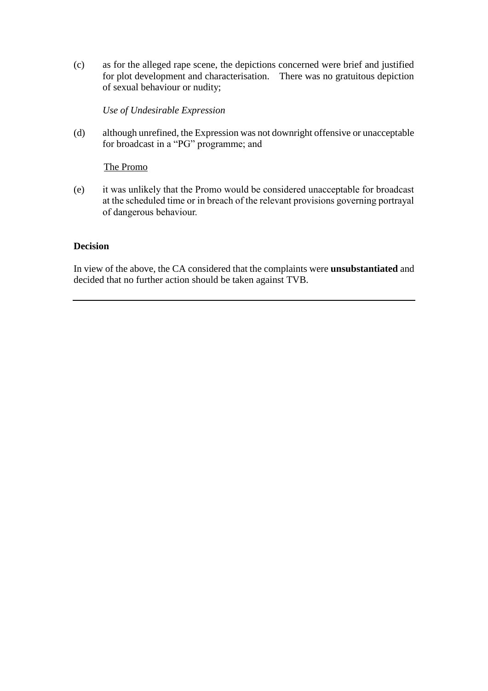(c) as for the alleged rape scene, the depictions concerned were brief and justified for plot development and characterisation. There was no gratuitous depiction of sexual behaviour or nudity;

#### *Use of Undesirable Expression*

(d) although unrefined, the Expression was not downright offensive or unacceptable for broadcast in a "PG" programme; and

### The Promo

(e) it was unlikely that the Promo would be considered unacceptable for broadcast at the scheduled time or in breach of the relevant provisions governing portrayal of dangerous behaviour.

### **Decision**

In view of the above, the CA considered that the complaints were **unsubstantiated** and decided that no further action should be taken against TVB.